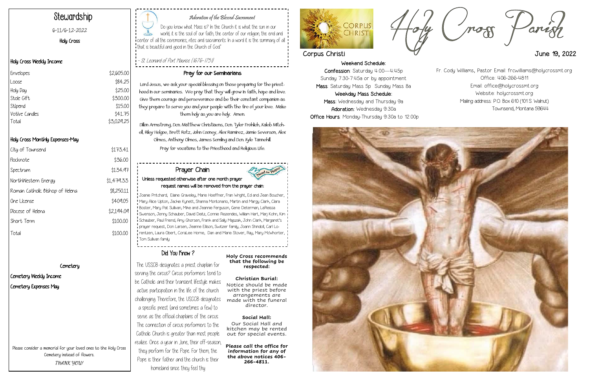# Weekend Schedule: Confession: Saturday 4:00—4:45p Sunday 7:30-7:45a or by appointment

Mass: Saturday Mass 5p Sunday Mass 8a Weekday Mass Schedule: Mass: Wednesday and Thursday 9a Adoration: Wednesday 9:30a Office Hours: Monday-Thursday 9:30a to 12:00p





# Adoration of the Blessed Sacrament

Do you know what Mass is? In the Church it is what the sun in our world, it is the soul of our faith, the center of our religion, the end and center of all the ceremonies, rites and sacraments. In a word it is the summary of all that is beautiful and good in the Church of God."

- St. Leonard of Port Maurice (1676-1751)

# Stewardship

6-11/6-12-2022

Holy Cross

# Holy Cross Weekly Income

# Holy Cross Monthly Expenses-May

| City of Townsend                | \$173.41   |
|---------------------------------|------------|
| Flocknote                       | \$36.00    |
| Spectrum                        | \$134.97   |
| NorthWestern Energy             | \$1,479.33 |
| Roman Catholic Bishop of Helena | \$8,250.11 |
| One License                     | \$409.05   |
| Diocese of Helena               | \$2,194.09 |
| Short Term                      | \$100.00   |
| Total                           | \$100.00   |

# **Cemetery**

# Cemetery Weekly Income Cemetery Expenses May

# Pray for our Seminarians

Lord Jesus, we ask your special blessing on those preparing for the priesthood in our seminaries. We pray that they will grow in faith, hope and love. Give them courage and perseverance and be their constant companion as they prepare to serve you and your people with the fire of your love. Make them holy as you are holy. Amen.

Dillon Armstrong, Dcn. Matthew Christiaens, Dcn. Tyler Frohlich, Kaleb Mitchell, Riley Helgoe, Brett Rotz, John Cooney, Alex Ramirez, Jamie Severson, Alex Olmes, Anthony Olmes, James Semling and Dcn. Kyle Tannehill. Pray for vocations to the Priesthood and Religious Life.

| Envelopes      | \$2,605.00 |
|----------------|------------|
| Loose          | \$84.25    |
| Holy Day       | \$25.00    |
| Stole Gift     | \$300.00   |
| Stipend        | \$15.00    |
| Votive Candles | \$41.75    |
| Total          | \$3,029.25 |
|                |            |

Please consider a memorial for your loved ones to the Holy Cross Cemetery instead of flowers. **THANK YOU!**

The USSCB designates a priest chaplain for serving the circus? Circus performers tend to be Catholic and their transient lifestyle makes active participation in the life of the church challenging. Therefore, the USCCB designates a specific priest (and sometimes a few) to serve as the official chaplains of the circus. The connection of circus performers to the Catholic Church is greater than most people realize. Once a year in June, their off-season, they perform for the Pope. For them, the Pope is their father and the church is their homeland since they feel thy

#### **Holy Cross recommends that the following be respected:**

### **Christian Burial:** Notice should be made with the priest before arrangements are made with the funeral director.

## **Social Hall:**

Our Social Hall and kitchen may be rented out for special events.

**Please call the office for information for any of the above notices 406- 266-4811.**



## Prayer Chain Unless requested otherwise after one month prayer request names will be removed from the prayer chain:

Joanie Pritchard, Elaine Graveley, Marie Hoeffner, Fran Wright, Ed and Jean Boucher, Mary Alice Upton, Jackie Kynett, Shanna Montonario, Martin and Margy Clark, Clara Boster, Mary Pat Sullivan, Mike and Jeannie Ferguson, Gene Determan, LaReissa Swenson, Jenny Schauber, David Deitz, Connie Rezendes, William Hart, Marj Kohn, Kim Schauber, Paul Friend, Amy Ghorsen, Frank and Sally Majszak, John Clark, Margaret's prayer request, Don Larsen, Jeanne Ellison, Switzer family, Joann Shindoll, Carl Lorentzen, Laura Obert, CoraLee Horne, Dan and Marie Stover, Ray, Mary McWhorter, Tom Sullivan family

# Did You Know?

Fr. Cody Williams, Pastor Email: frcwilliams@holycrossmt.org Office: 406-266-4811 Email: office@holycrossmt.org Website: holycrossmt.org Mailing address: P.O. Box 610 (101 S. Walnut) Townsend, Montana 59644